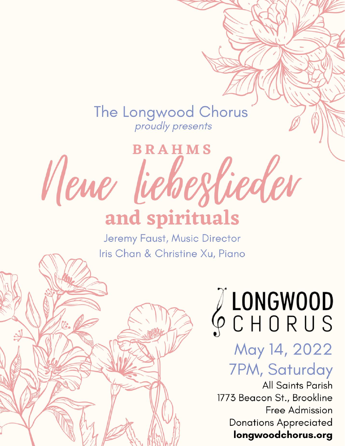The Longwood Chorus<br>
proudly presents

# **BRAHMS** Newe lieberlieder and spirituals

Jeremy Faust, Music Director Iris Chan & Christine Xu, Piano

# JUNGWOOD

# May 14, 2022 **7PM, Saturday**

**All Saints Parish** 1773 Beacon St., Brookline **Free Admission Donations Appreciated** longwoodchorus.org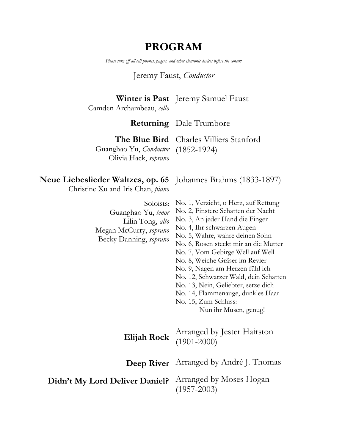# **PROGRAM**

*Please turn off all cell phones, pagers, and other electronic devices before the concert*

#### Jeremy Faust, *Conductor*

**Winter is Past** Jeremy Samuel Faust

Camden Archambeau, *cello*

#### **Returning** Dale Trumbore

**The Blue Bird** Charles Villiers Stanford

Guanghao Yu, *Conductor* (1852-1924) Olivia Hack, *soprano*

#### **Neue Liebeslieder Waltzes, op. 65** Johannes Brahms (1833-1897)

Christine Xu and Iris Chan, *piano*

| Soloists:<br>Guanghao Yu, tenor<br>Lilin Tong, alto<br>Megan McCurry, soprano<br>Becky Danning, soprano | No. 1, Verzicht, o Herz, auf Rettung<br>No. 2, Finstere Schatten der Nacht<br>No. 3, An jeder Hand die Finger<br>No. 4, Ihr schwarzen Augen<br>No. 5, Wahre, wahre deinen Sohn<br>No. 6, Rosen steckt mir an die Mutter<br>No. 7, Vom Gebirge Well auf Well<br>No. 8, Weiche Gräser im Revier<br>No. 9, Nagen am Herzen fühl ich<br>No. 12, Schwarzer Wald, dein Schatten<br>No. 13, Nein, Geliebter, setze dich<br>No. 14, Flammenauge, dunkles Haar<br>No. 15, Zum Schluss:<br>Nun ihr Musen, genug! |
|---------------------------------------------------------------------------------------------------------|--------------------------------------------------------------------------------------------------------------------------------------------------------------------------------------------------------------------------------------------------------------------------------------------------------------------------------------------------------------------------------------------------------------------------------------------------------------------------------------------------------|
|                                                                                                         | Elijah Rock Arranged by Jester Hairston<br>(1901-2000)                                                                                                                                                                                                                                                                                                                                                                                                                                                 |
| <b>Deep River</b>                                                                                       | Arranged by André J. Thomas                                                                                                                                                                                                                                                                                                                                                                                                                                                                            |
| Didn't My Lord Deliver Daniel?                                                                          | Arranged by Moses Hogan<br>$(1957 - 2003)$                                                                                                                                                                                                                                                                                                                                                                                                                                                             |
|                                                                                                         |                                                                                                                                                                                                                                                                                                                                                                                                                                                                                                        |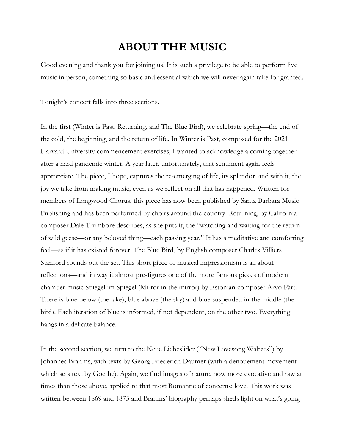# **ABOUT THE MUSIC**

Good evening and thank you for joining us! It is such a privilege to be able to perform live music in person, something so basic and essential which we will never again take for granted.

Tonight's concert falls into three sections.

In the first (Winter is Past, Returning, and The Blue Bird), we celebrate spring—the end of the cold, the beginning, and the return of life. In Winter is Past, composed for the 2021 Harvard University commencement exercises, I wanted to acknowledge a coming together after a hard pandemic winter. A year later, unfortunately, that sentiment again feels appropriate. The piece, I hope, captures the re-emerging of life, its splendor, and with it, the joy we take from making music, even as we reflect on all that has happened. Written for members of Longwood Chorus, this piece has now been published by Santa Barbara Music Publishing and has been performed by choirs around the country. Returning, by California composer Dale Trumbore describes, as she puts it, the "watching and waiting for the return of wild geese—or any beloved thing—each passing year." It has a meditative and comforting feel—as if it has existed forever. The Blue Bird, by English composer Charles Villiers Stanford rounds out the set. This short piece of musical impressionism is all about reflections—and in way it almost pre-figures one of the more famous pieces of modern chamber music Spiegel im Spiegel (Mirror in the mirror) by Estonian composer Arvo Pärt. There is blue below (the lake), blue above (the sky) and blue suspended in the middle (the bird). Each iteration of blue is informed, if not dependent, on the other two. Everything hangs in a delicate balance.

In the second section, we turn to the Neue Liebeslider ("New Lovesong Waltzes") by Johannes Brahms, with texts by Georg Friederich Daumer (with a denouement movement which sets text by Goethe). Again, we find images of nature, now more evocative and raw at times than those above, applied to that most Romantic of concerns: love. This work was written between 1869 and 1875 and Brahms' biography perhaps sheds light on what's going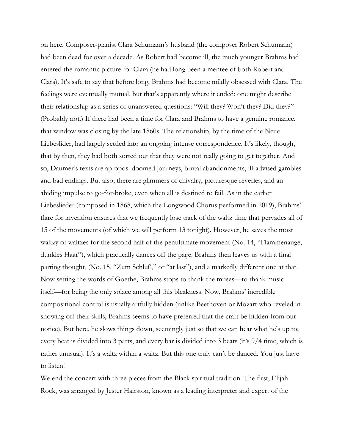on here. Composer-pianist Clara Schumann's husband (the composer Robert Schumann) had been dead for over a decade. As Robert had become ill, the much younger Brahms had entered the romantic picture for Clara (he had long been a mentee of both Robert and Clara). It's safe to say that before long, Brahms had become mildly obsessed with Clara. The feelings were eventually mutual, but that's apparently where it ended; one might describe their relationship as a series of unanswered questions: "Will they? Won't they? Did they?" (Probably not.) If there had been a time for Clara and Brahms to have a genuine romance, that window was closing by the late 1860s. The relationship, by the time of the Neue Liebeslider, had largely settled into an ongoing intense correspondence. It's likely, though, that by then, they had both sorted out that they were not really going to get together. And so, Daumer's texts are apropos: doomed journeys, brutal abandonments, ill-advised gambles and bad endings. But also, there are glimmers of chivalry, picturesque reveries, and an abiding impulse to go-for-broke, even when all is destined to fail. As in the earlier Liebeslieder (composed in 1868, which the Longwood Chorus performed in 2019), Brahms' flare for invention ensures that we frequently lose track of the waltz time that pervades all of 15 of the movements (of which we will perform 13 tonight). However, he saves the most waltzy of waltzes for the second half of the penultimate movement (No. 14, "Flammenauge, dunkles Haar"), which practically dances off the page. Brahms then leaves us with a final parting thought, (No. 15, "Zum Schluß," or "at last"), and a markedly different one at that. Now setting the words of Goethe, Brahms stops to thank the muses—to thank music itself—for being the only solace among all this bleakness. Now, Brahms' incredible compositional control is usually artfully hidden (unlike Beethoven or Mozart who reveled in showing off their skills, Brahms seems to have preferred that the craft be hidden from our notice). But here, he slows things down, seemingly just so that we can hear what he's up to; every beat is divided into 3 parts, and every bar is divided into 3 beats (it's 9/4 time, which is rather unusual). It's a waltz within a waltz. But this one truly can't be danced. You just have to listen!

We end the concert with three pieces from the Black spiritual tradition. The first, Elijah Rock, was arranged by Jester Hairston, known as a leading interpreter and expert of the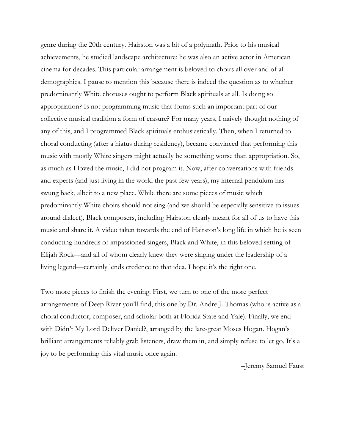genre during the 20th century. Hairston was a bit of a polymath. Prior to his musical achievements, he studied landscape architecture; he was also an active actor in American cinema for decades. This particular arrangement is beloved to choirs all over and of all demographics. I pause to mention this because there is indeed the question as to whether predominantly White choruses ought to perform Black spirituals at all. Is doing so appropriation? Is not programming music that forms such an important part of our collective musical tradition a form of erasure? For many years, I naively thought nothing of any of this, and I programmed Black spirituals enthusiastically. Then, when I returned to choral conducting (after a hiatus during residency), became convinced that performing this music with mostly White singers might actually be something worse than appropriation. So, as much as I loved the music, I did not program it. Now, after conversations with friends and experts (and just living in the world the past few years), my internal pendulum has swung back, albeit to a new place. While there are some pieces of music which predominantly White choirs should not sing (and we should be especially sensitive to issues around dialect), Black composers, including Hairston clearly meant for all of us to have this music and share it. A video taken towards the end of Hairston's long life in which he is seen conducting hundreds of impassioned singers, Black and White, in this beloved setting of Elijah Rock—and all of whom clearly knew they were singing under the leadership of a living legend—certainly lends credence to that idea. I hope it's the right one.

Two more pieces to finish the evening. First, we turn to one of the more perfect arrangements of Deep River you'll find, this one by Dr. Andre J. Thomas (who is active as a choral conductor, composer, and scholar both at Florida State and Yale). Finally, we end with Didn't My Lord Deliver Daniel?, arranged by the late-great Moses Hogan. Hogan's brilliant arrangements reliably grab listeners, draw them in, and simply refuse to let go. It's a joy to be performing this vital music once again.

–Jeremy Samuel Faust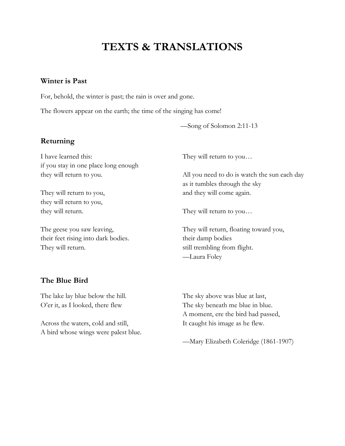# **TEXTS & TRANSLATIONS**

#### **Winter is Past**

For, behold, the winter is past; the rain is over and gone.

The flowers appear on the earth; the time of the singing has come!

—Song of Solomon 2:11-13

#### **Returning**

I have learned this: if you stay in one place long enough they will return to you.

They will return to you, they will return to you, they will return.

The geese you saw leaving, their feet rising into dark bodies. They will return.

They will return to you…

All you need to do is watch the sun each day as it tumbles through the sky and they will come again.

They will return to you…

They will return, floating toward you, their damp bodies still trembling from flight. —Laura Foley

#### **The Blue Bird**

The lake lay blue below the hill. O'er it, as I looked, there flew

Across the waters, cold and still, A bird whose wings were palest blue. The sky above was blue at last, The sky beneath me blue in blue. A moment, ere the bird had passed, It caught his image as he flew.

—Mary Elizabeth Coleridge (1861-1907)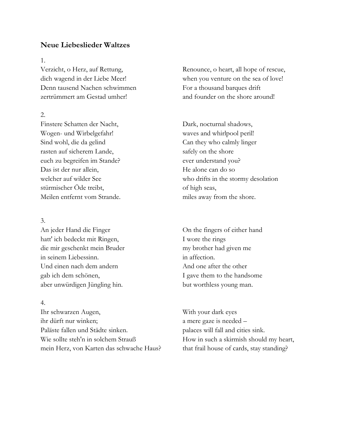#### **Neue Liebeslieder Waltzes**

1.

Verzicht, o Herz, auf Rettung, dich wagend in der Liebe Meer! Denn tausend Nachen schwimmen zertrümmert am Gestad umher!

2.

Finstere Schatten der Nacht, Wogen- und Wirbelgefahr! Sind wohl, die da gelind rasten auf sicherem Lande, euch zu begreifen im Stande? Das ist der nur allein, welcher auf wilder See stürmischer Öde treibt, Meilen entfernt vom Strande.

#### 3.

An jeder Hand die Finger hatt' ich bedeckt mit Ringen, die mir geschenkt mein Bruder in seinem Liebessinn. Und einen nach dem andern gab ich dem schönen, aber unwürdigen Jüngling hin.

#### 4.

Ihr schwarzen Augen, ihr dürft nur winken; Paläste fallen und Städte sinken. Wie sollte steh'n in solchem Strauß mein Herz, von Karten das schwache Haus? Renounce, o heart, all hope of rescue, when you venture on the sea of love! For a thousand barques drift and founder on the shore around!

Dark, nocturnal shadows, waves and whirlpool peril! Can they who calmly linger safely on the shore ever understand you? He alone can do so who drifts in the stormy desolation of high seas, miles away from the shore.

On the fingers of either hand I wore the rings my brother had given me in affection. And one after the other I gave them to the handsome but worthless young man.

With your dark eyes a mere gaze is needed – palaces will fall and cities sink. How in such a skirmish should my heart, that frail house of cards, stay standing?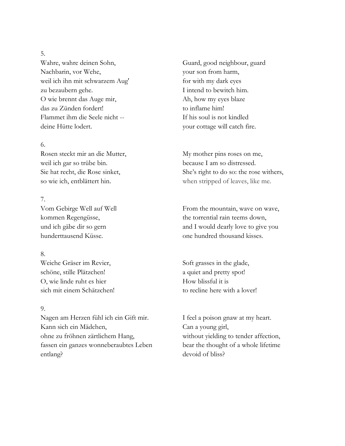#### 5.

Wahre, wahre deinen Sohn, Nachbarin, vor Wehe, weil ich ihn mit schwarzem Aug' zu bezaubern gehe. O wie brennt das Auge mir, das zu Zünden fordert! Flammet ihm die Seele nicht - deine Hütte lodert.

#### 6.

Rosen steckt mir an die Mutter, weil ich gar so trübe bin. Sie hat recht, die Rose sinket, so wie ich, entblättert hin.

#### 7.

Vom Gebirge Well auf Well kommen Regengüsse, und ich gäbe dir so gern hunderttausend Küsse.

#### 8.

Weiche Gräser im Revier, schöne, stille Plätzchen! O, wie linde ruht es hier sich mit einem Schätzchen!

#### 9.

Nagen am Herzen fühl ich ein Gift mir. Kann sich ein Mädchen, ohne zu fröhnen zärtlichem Hang, fassen ein ganzes wonneberaubtes Leben entlang?

Guard, good neighbour, guard your son from harm, for with my dark eyes I intend to bewitch him. Ah, how my eyes blaze to inflame him! If his soul is not kindled your cottage will catch fire.

My mother pins roses on me, because I am so distressed. She's right to do so: the rose withers, when stripped of leaves, like me.

From the mountain, wave on wave, the torrential rain teems down, and I would dearly love to give you one hundred thousand kisses.

Soft grasses in the glade, a quiet and pretty spot! How blissful it is to recline here with a lover!

I feel a poison gnaw at my heart. Can a young girl, without yielding to tender affection, bear the thought of a whole lifetime devoid of bliss?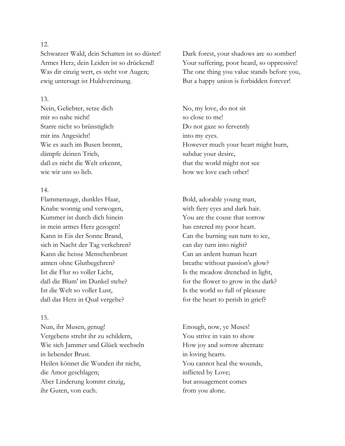#### 12.

Schwarzer Wald, dein Schatten ist so düster! Armes Herz, dein Leiden ist so drückend! Was dir einzig wert, es steht vor Augen; ewig untersagt ist Huldvereinung.

#### 13.

Nein, Geliebter, setze dich mir so nahe nicht! Starre nicht so brünstiglich mir ins Angesicht! Wie es auch im Busen brennt, dämpfe deinen Trieb, daß es nicht die Welt erkennt, wie wir uns so lieb.

#### 14.

Flammenauge, dunkles Haar, Knabe wonnig und verwogen, Kummer ist durch dich hinein in mein armes Herz gezogen! Kann in Eis der Sonne Brand, sich in Nacht der Tag verkehren? Kann die heisse Menschenbrust atmen ohne Glutbegehren? Ist die Flur so voller Licht, daß die Blum' im Dunkel stehe? Ist die Welt so voller Lust, daß das Herz in Qual vergehe?

#### 15.

Nun, ihr Musen, genug! Vergebens strebt ihr zu schildern, Wie sich Jammer und Glück wechseln in liebender Brust. Heilen könnet die Wunden ihr nicht, die Amor geschlagen; Aber Linderung kommt einzig, ihr Guten, von euch.

Dark forest, your shadows are so somber! Your suffering, poor heard, so oppressive! The one thing you value stands before you, But a happy union is forbidden forever!

No, my love, do not sit so close to me! Do not gaze so fervently into my eyes. However much your heart might burn, subdue your desire, that the world might not see how we love each other!

Bold, adorable young man, with fiery eyes and dark hair. You are the couse that sorrow has entered my poor heart. Can the burning sun turn to ice, can day turn into night? Can an ardent human heart breathe without passion's glow? Is the meadow drenched in light, for the flower to grow in the dark? Is the world so full of pleasure for the heart to perish in grief?

Enough, now, ye Muses! You strive in vain to show How joy and sorrow alternate in loving hearts. You cannot heal the wounds, inflicted by Love; but assuagement comes from you alone.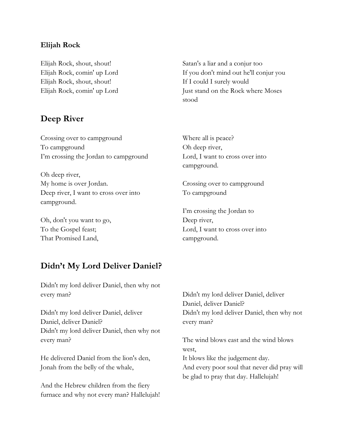#### **Elijah Rock**

Elijah Rock, shout, shout! Elijah Rock, comin' up Lord Elijah Rock, shout, shout! Elijah Rock, comin' up Lord

#### **Deep River**

Crossing over to campground To campground I'm crossing the Jordan to campground

Oh deep river, My home is over Jordan. Deep river, I want to cross over into campground.

Oh, don't you want to go, To the Gospel feast; That Promised Land,

Satan's a liar and a conjur too If you don't mind out he'll conjur you If I could I surely would Just stand on the Rock where Moses stood

Where all is peace? Oh deep river, Lord, I want to cross over into campground.

Crossing over to campground To campground

I'm crossing the Jordan to Deep river, Lord, I want to cross over into campground.

#### **Didn't My Lord Deliver Daniel?**

Didn't my lord deliver Daniel, then why not every man?

Didn't my lord deliver Daniel, deliver Daniel, deliver Daniel? Didn't my lord deliver Daniel, then why not every man?

He delivered Daniel from the lion's den, Jonah from the belly of the whale,

And the Hebrew children from the fiery furnace and why not every man? Hallelujah! Didn't my lord deliver Daniel, deliver Daniel, deliver Daniel? Didn't my lord deliver Daniel, then why not every man?

The wind blows east and the wind blows west, It blows like the judgement day. And every poor soul that never did pray will be glad to pray that day. Hallelujah!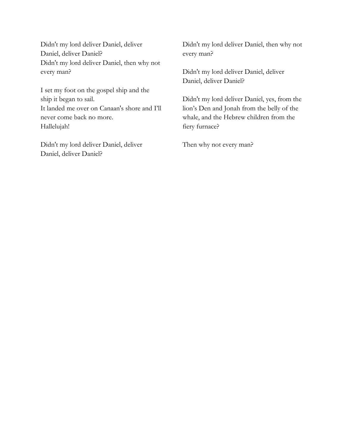Didn't my lord deliver Daniel, deliver Daniel, deliver Daniel? Didn't my lord deliver Daniel, then why not every man?

I set my foot on the gospel ship and the ship it began to sail. It landed me over on Canaan's shore and I'll never come back no more. Hallelujah!

Didn't my lord deliver Daniel, deliver Daniel, deliver Daniel?

Didn't my lord deliver Daniel, then why not every man?

Didn't my lord deliver Daniel, deliver Daniel, deliver Daniel?

Didn't my lord deliver Daniel, yes, from the lion's Den and Jonah from the belly of the whale, and the Hebrew children from the fiery furnace?

Then why not every man?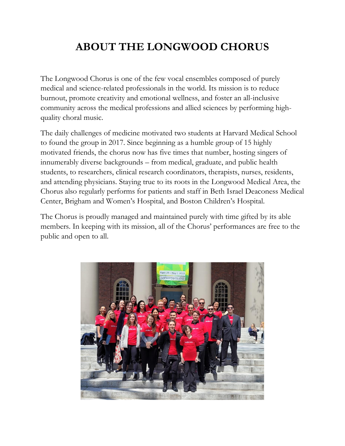# **ABOUT THE LONGWOOD CHORUS**

The Longwood Chorus is one of the few vocal ensembles composed of purely medical and science-related professionals in the world. Its mission is to reduce burnout, promote creativity and emotional wellness, and foster an all-inclusive community across the medical professions and allied sciences by performing highquality choral music.

The daily challenges of medicine motivated two students at Harvard Medical School to found the group in 2017. Since beginning as a humble group of 15 highly motivated friends, the chorus now has five times that number, hosting singers of innumerably diverse backgrounds – from medical, graduate, and public health students, to researchers, clinical research coordinators, therapists, nurses, residents, and attending physicians. Staying true to its roots in the Longwood Medical Area, the Chorus also regularly performs for patients and staff in Beth Israel Deaconess Medical Center, Brigham and Women's Hospital, and Boston Children's Hospital.

The Chorus is proudly managed and maintained purely with time gifted by its able members. In keeping with its mission, all of the Chorus' performances are free to the public and open to all.

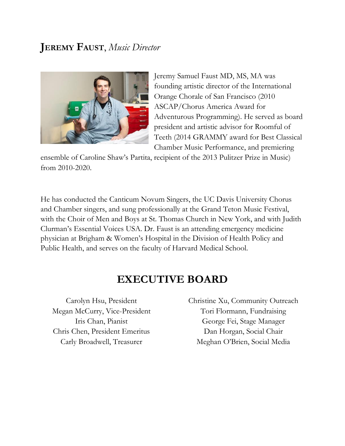# **JEREMY FAUST**, *Music Director*



Jeremy Samuel Faust MD, MS, MA was founding artistic director of the International Orange Chorale of San Francisco (2010 ASCAP/Chorus America Award for Adventurous Programming). He served as board president and artistic advisor for Roomful of Teeth (2014 GRAMMY award for Best Classical Chamber Music Performance, and premiering

ensemble of Caroline Shaw's Partita, recipient of the 2013 Pulitzer Prize in Music) from 2010-2020.

He has conducted the Canticum Novum Singers, the UC Davis University Chorus and Chamber singers, and sung professionally at the Grand Teton Music Festival, with the Choir of Men and Boys at St. Thomas Church in New York, and with Judith Clurman's Essential Voices USA. Dr. Faust is an attending emergency medicine physician at Brigham & Women's Hospital in the Division of Health Policy and Public Health, and serves on the faculty of Harvard Medical School.

## **EXECUTIVE BOARD**

Carolyn Hsu, President Megan McCurry, Vice-President Iris Chan, Pianist Chris Chen, President Emeritus Carly Broadwell, Treasurer

Christine Xu, Community Outreach Tori Flormann, Fundraising George Fei, Stage Manager Dan Horgan, Social Chair Meghan O'Brien, Social Media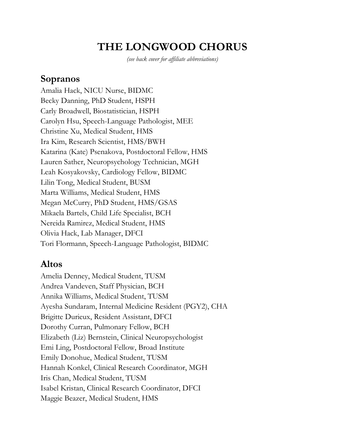# **THE LONGWOOD CHORUS**

*(see back cover for affiliate abbreviations)*

#### **Sopranos**

Amalia Hack, NICU Nurse, BIDMC Becky Danning, PhD Student, HSPH Carly Broadwell, Biostatistician, HSPH Carolyn Hsu, Speech-Language Pathologist, MEE Christine Xu, Medical Student, HMS Ira Kim, Research Scientist, HMS/BWH Katarina (Kate) Psenakova, Postdoctoral Fellow, HMS Lauren Sather, Neuropsychology Technician, MGH Leah Kosyakovsky, Cardiology Fellow, BIDMC Lilin Tong, Medical Student, BUSM Marta Williams, Medical Student, HMS Megan McCurry, PhD Student, HMS/GSAS Mikaela Bartels, Child Life Specialist, BCH Nereida Ramirez, Medical Student, HMS Olivia Hack, Lab Manager, DFCI Tori Flormann, Speech-Language Pathologist, BIDMC

#### **Altos**

Amelia Denney, Medical Student, TUSM Andrea Vandeven, Staff Physician, BCH Annika Williams, Medical Student, TUSM Ayesha Sundaram, Internal Medicine Resident (PGY2), CHA Brigitte Durieux, Resident Assistant, DFCI Dorothy Curran, Pulmonary Fellow, BCH Elizabeth (Liz) Bernstein, Clinical Neuropsychologist Emi Ling, Postdoctoral Fellow, Broad Institute Emily Donohue, Medical Student, TUSM Hannah Konkel, Clinical Research Coordinator, MGH Iris Chan, Medical Student, TUSM Isabel Kristan, Clinical Research Coordinator, DFCI Maggie Beazer, Medical Student, HMS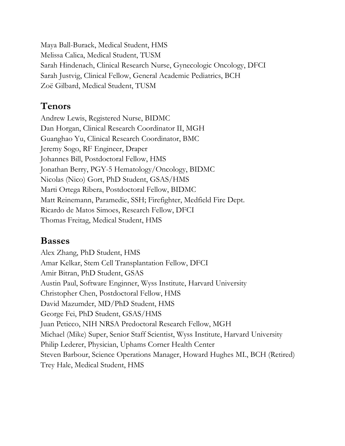Maya Ball-Burack, Medical Student, HMS Melissa Calica, Medical Student, TUSM Sarah Hindenach, Clinical Research Nurse, Gynecologic Oncology, DFCI Sarah Justvig, Clinical Fellow, General Academic Pediatrics, BCH Zoë Gilbard, Medical Student, TUSM

# **Tenors**

Andrew Lewis, Registered Nurse, BIDMC Dan Horgan, Clinical Research Coordinator II, MGH Guanghao Yu, Clinical Research Coordinator, BMC Jeremy Sogo, RF Engineer, Draper Johannes Bill, Postdoctoral Fellow, HMS Jonathan Berry, PGY-5 Hematology/Oncology, BIDMC Nicolas (Nico) Gort, PhD Student, GSAS/HMS Marti Ortega Ribera, Postdoctoral Fellow, BIDMC Matt Reinemann, Paramedic, SSH; Firefighter, Medfield Fire Dept. Ricardo de Matos Simoes, Research Fellow, DFCI Thomas Freitag, Medical Student, HMS

## **Basses**

Alex Zhang, PhD Student, HMS Amar Kelkar, Stem Cell Transplantation Fellow, DFCI Amir Bitran, PhD Student, GSAS Austin Paul, Software Enginner, Wyss Institute, Harvard University Christopher Chen, Postdoctoral Fellow, HMS David Mazumder, MD/PhD Student, HMS George Fei, PhD Student, GSAS/HMS Juan Peticco, NIH NRSA Predoctoral Research Fellow, MGH Michael (Mike) Super, Senior Staff Scientist, Wyss Institute, Harvard University Philip Lederer, Physician, Uphams Corner Health Center Steven Barbour, Science Operations Manager, Howard Hughes MI., BCH (Retired) Trey Hale, Medical Student, HMS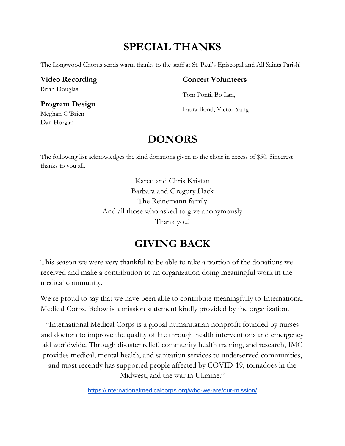# **SPECIAL THANKS**

The Longwood Chorus sends warm thanks to the staff at St. Paul's Episcopal and All Saints Parish!

#### **Video Recording** Brian Douglas

#### **Concert Volunteers**

Tom Ponti, Bo Lan,

Laura Bond, Victor Yang

#### **Program Design**  Meghan O'Brien Dan Horgan

# **DONORS**

The following list acknowledges the kind donations given to the choir in excess of \$50. Sincerest thanks to you all.

> Karen and Chris Kristan Barbara and Gregory Hack The Reinemann family And all those who asked to give anonymously Thank you!

# **GIVING BACK**

This season we were very thankful to be able to take a portion of the donations we received and make a contribution to an organization doing meaningful work in the medical community.

We're proud to say that we have been able to contribute meaningfully to International Medical Corps. Below is a mission statement kindly provided by the organization.

"International Medical Corps is a global humanitarian nonprofit founded by nurses and doctors to improve the quality of life through health interventions and emergency aid worldwide. Through disaster relief, community health training, and research, IMC provides medical, mental health, and sanitation services to underserved communities, and most recently has supported people affected by COVID-19, tornadoes in the Midwest, and the war in Ukraine."

<https://internationalmedicalcorps.org/who-we-are/our-mission/>